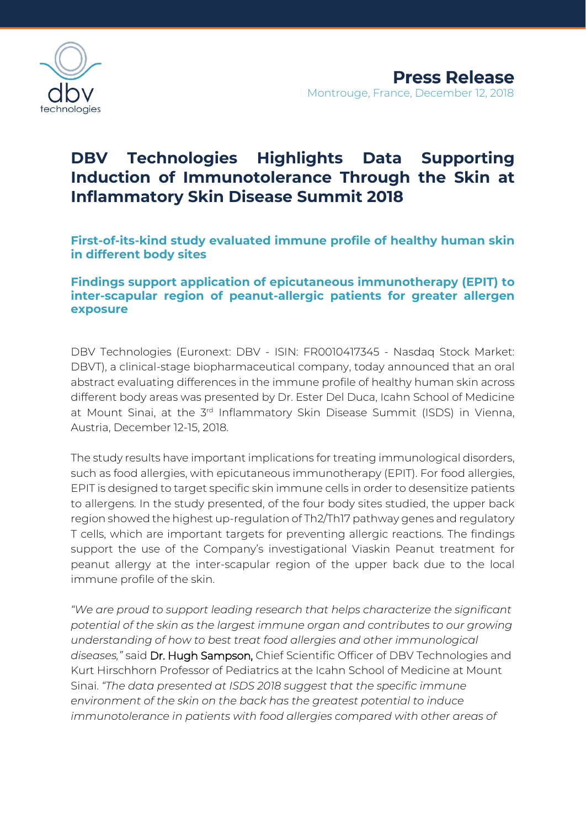

# **DBV Technologies Highlights Data Supporting Induction of Immunotolerance Through the Skin at Inflammatory Skin Disease Summit 2018**

**First-of-its-kind study evaluated immune profile of healthy human skin in different body sites**

# **Findings support application of epicutaneous immunotherapy (EPIT) to inter-scapular region of peanut-allergic patients for greater allergen exposure**

DBV Technologies (Euronext: DBV - ISIN: FR0010417345 - Nasdaq Stock Market: DBVT), a clinical-stage biopharmaceutical company, today announced that an oral abstract evaluating differences in the immune profile of healthy human skin across different body areas was presented by Dr. Ester Del Duca, Icahn School of Medicine at Mount Sinai, at the 3<sup>rd</sup> Inflammatory Skin Disease Summit (ISDS) in Vienna, Austria, December 12-15, 2018.

The study results have important implications for treating immunological disorders, such as food allergies, with epicutaneous immunotherapy (EPIT). For food allergies, EPIT is designed to target specific skin immune cells in order to desensitize patients to allergens. In the study presented, of the four body sites studied, the upper back region showed the highest up-regulation of Th2/Th17 pathway genes and regulatory T cells, which are important targets for preventing allergic reactions. The findings support the use of the Company's investigational Viaskin Peanut treatment for peanut allergy at the inter-scapular region of the upper back due to the local immune profile of the skin.

*"We are proud to support leading research that helps characterize the significant potential of the skin as the largest immune organ and contributes to our growing understanding of how to best treat food allergies and other immunological diseases,"* said Dr. Hugh Sampson, Chief Scientific Officer of DBV Technologies and Kurt Hirschhorn Professor of Pediatrics at the Icahn School of Medicine at Mount Sinai. *"The data presented at ISDS 2018 suggest that the specific immune environment of the skin on the back has the greatest potential to induce immunotolerance in patients with food allergies compared with other areas of*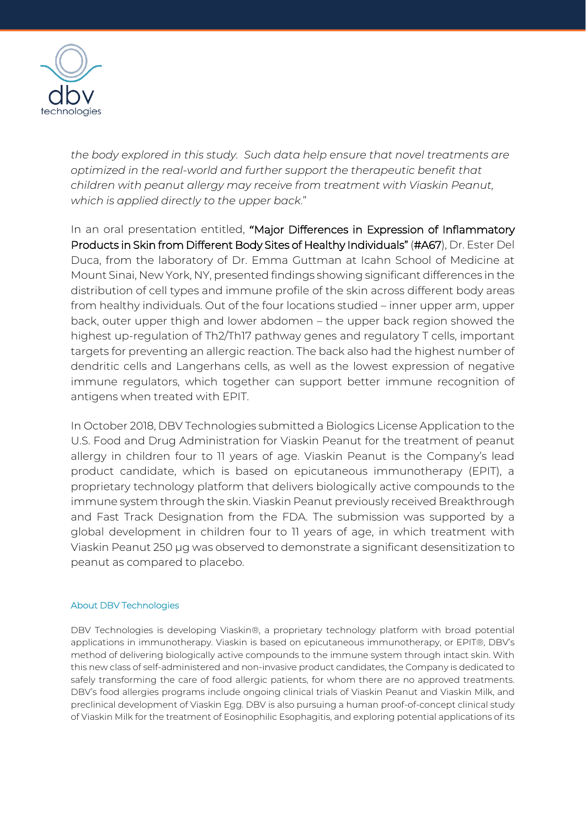

*the body explored in this study. Such data help ensure that novel treatments are optimized in the real-world and further support the therapeutic benefit that children with peanut allergy may receive from treatment with Viaskin Peanut, which is applied directly to the upper back*."

In an oral presentation entitled, **"**Major Differences in Expression of Inflammatory Products in Skin from Different Body Sites of Healthy Individuals" (#A67), Dr. Ester Del Duca, from the laboratory of Dr. Emma Guttman at Icahn School of Medicine at Mount Sinai, New York, NY, presented findings showing significant differences in the distribution of cell types and immune profile of the skin across different body areas from healthy individuals. Out of the four locations studied – inner upper arm, upper back, outer upper thigh and lower abdomen – the upper back region showed the highest up-regulation of Th2/Th17 pathway genes and regulatory T cells, important targets for preventing an allergic reaction. The back also had the highest number of dendritic cells and Langerhans cells, as well as the lowest expression of negative immune regulators, which together can support better immune recognition of antigens when treated with EPIT.

In October 2018, DBV Technologies submitted a Biologics License Application to the U.S. Food and Drug Administration for Viaskin Peanut for the treatment of peanut allergy in children four to 11 years of age. Viaskin Peanut is the Company's lead product candidate, which is based on epicutaneous immunotherapy (EPIT), a proprietary technology platform that delivers biologically active compounds to the immune system through the skin. Viaskin Peanut previously received Breakthrough and Fast Track Designation from the FDA. The submission was supported by a global development in children four to 11 years of age, in which treatment with Viaskin Peanut 250 µg was observed to demonstrate a significant desensitization to peanut as compared to placebo.

#### About DBV Technologies

DBV Technologies is developing Viaskin®, a proprietary technology platform with broad potential applications in immunotherapy. Viaskin is based on epicutaneous immunotherapy, or EPIT®, DBV's method of delivering biologically active compounds to the immune system through intact skin. With this new class of self-administered and non-invasive product candidates, the Company is dedicated to safely transforming the care of food allergic patients, for whom there are no approved treatments. DBV's food allergies programs include ongoing clinical trials of Viaskin Peanut and Viaskin Milk, and preclinical development of Viaskin Egg. DBV is also pursuing a human proof-of-concept clinical study of Viaskin Milk for the treatment of Eosinophilic Esophagitis, and exploring potential applications of its